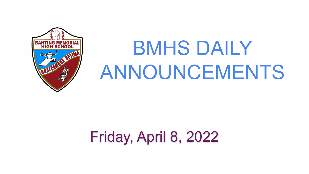## Friday, April 8, 2022



# BMHS DAILY ANNOUNCEMENTS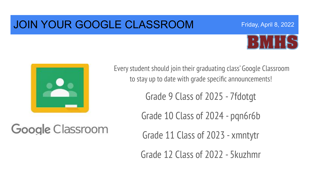### JOIN YOUR GOOGLE CLASSROOM



Friday, April 8, 2022



Google Classroom

Every student should join their graduating class' Google Classroom to stay up to date with grade specific announcements!

Grade 9 Class of 2025 - 7fdotgt

Grade 10 Class of 2024 - pqn6r6b

Grade 11 Class of 2023 - xmntytr

Grade 12 Class of 2022 - 5kuzhmr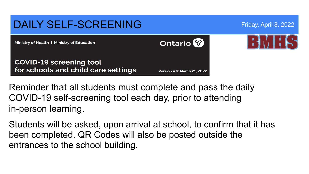#### DAILY SELF-SCREENING Friday, April 8, 2022 **Ontario** Ministry of Health | Ministry of Education **COVID-19 screening tool** for schools and child care settings **Version 4.6: March 21, 2022**

Reminder that all students must complete and pass the daily COVID-19 self-screening tool each day, prior to attending in-person learning.

Students will be asked, upon arrival at school, to confirm that it has been completed. QR Codes will also be posted outside the entrances to the school building.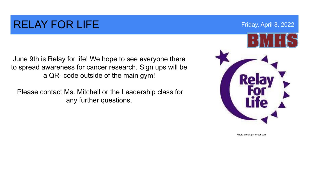### RELAY FOR LIFE THE RESERVE TO A RESERVE THE RESERVE TO A RESERVE TO A RESERVE TO A RESERVE TO A RESERVE TO A RESERVE TO A RESERVE TO A RESERVE TO A RESERVE TO A RESERVE TO A RESERVE TO A RESERVE TO A RESERVE TO A RESERVE T

June 9th is Relay for life! We hope to see everyone there to spread awareness for cancer research. Sign ups will be a QR- code outside of the main gym!

 Please contact Ms. Mitchell or the Leadership class for any further questions.



Photo credit:pinterest.com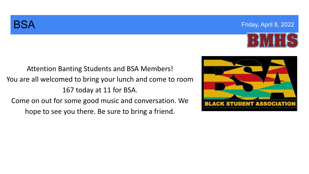

Attention Banting Students and BSA Members! You are all welcomed to bring your lunch and come to room 167 today at 11 for BSA. Come on out for some good music and conversation. We hope to see you there. Be sure to bring a friend.

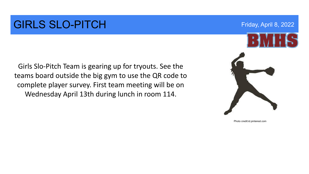#### GIRLS SLO-PITCH Friday, April 8, 2022

Girls Slo-Pitch Team is gearing up for tryouts. See the teams board outside the big gym to use the QR code to complete player survey. First team meeting will be on Wednesday April 13th during lunch in room 114.



Photo credit:id.pinterest.com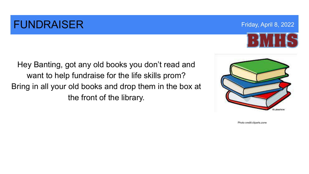### **FUNDRAISER FUNDRAISER FUNDRAISER FRIDAY ADDENTIFIER FRIDAY ADDENTIFIER FRIDAY ADDENTIFIER**

Hey Banting, got any old books you don't read and want to help fundraise for the life skills prom? Bring in all your old books and drop them in the box at the front of the library.



Photo credit:cliparts.zone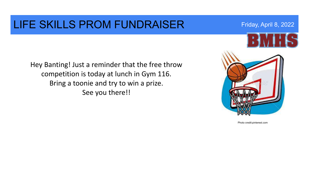#### LIFE SKILLS PROM FUNDRAISER Friday, April 8, 2022

Hey Banting! Just a reminder that the free throw competition is today at lunch in Gym 116. Bring a toonie and try to win a prize. See you there!!



Photo credit:pinterest.com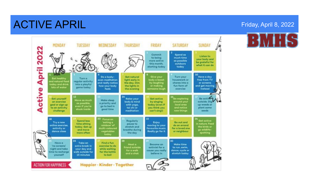### **ACTIVE APRIL ACTIVE APRIL**